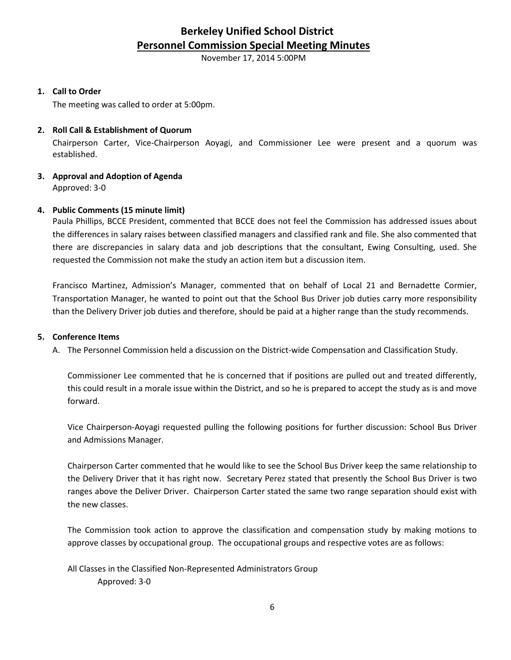# **Berkeley Unified School District Personnel Commission Special Meeting Minutes**

November 17, 2014 5:00PM

#### **1. Call to Order**

The meeting was called to order at 5:00pm.

# **2. Roll Call & Establishment of Quorum**

Chairperson Carter, Vice-Chairperson Aoyagi, and Commissioner Lee were present and a quorum was established.

#### **3. Approval and Adoption of Agenda** Approved: 3-0

# **4. Public Comments (15 minute limit)**

Paula Phillips, BCCE President, commented that BCCE does not feel the Commission has addressed issues about the differences in salary raises between classified managers and classified rank and file. She also commented that there are discrepancies in salary data and job descriptions that the consultant, Ewing Consulting, used. She requested the Commission not make the study an action item but a discussion item.

Francisco Martinez, Admission's Manager, commented that on behalf of Local 21 and Bernadette Cormier, Transportation Manager, he wanted to point out that the School Bus Driver job duties carry more responsibility than the Delivery Driver job duties and therefore, should be paid at a higher range than the study recommends.

#### **5. Conference Items**

A. The Personnel Commission held a discussion on the District-wide Compensation and Classification Study.

Commissioner Lee commented that he is concerned that if positions are pulled out and treated differently, this could result in a morale issue within the District, and so he is prepared to accept the study as is and move forward.

Vice Chairperson-Aoyagi requested pulling the following positions for further discussion: School Bus Driver and Admissions Manager.

Chairperson Carter commented that he would like to see the School Bus Driver keep the same relationship to the Delivery Driver that it has right now. Secretary Perez stated that presently the School Bus Driver is two ranges above the Deliver Driver. Chairperson Carter stated the same two range separation should exist with the new classes.

The Commission took action to approve the classification and compensation study by making motions to approve classes by occupational group. The occupational groups and respective votes are as follows:

All Classes in the Classified Non-Represented Administrators Group Approved: 3-0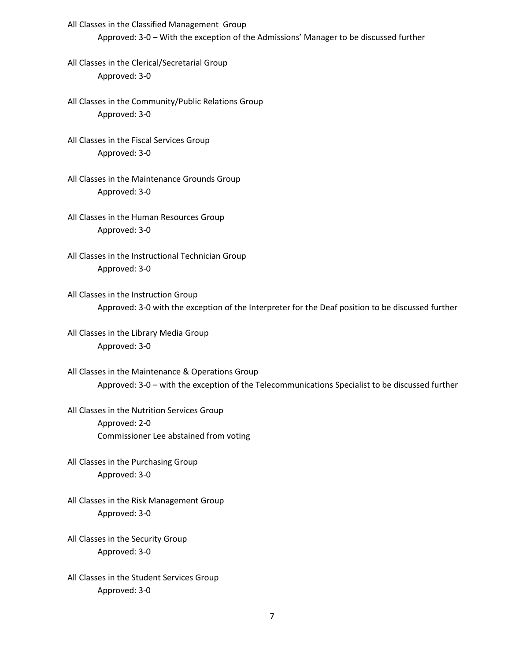- All Classes in the Classified Management Group Approved: 3-0 – With the exception of the Admissions' Manager to be discussed further
- All Classes in the Clerical/Secretarial Group Approved: 3-0
- All Classes in the Community/Public Relations Group Approved: 3-0
- All Classes in the Fiscal Services Group Approved: 3-0
- All Classes in the Maintenance Grounds Group Approved: 3-0
- All Classes in the Human Resources Group Approved: 3-0
- All Classes in the Instructional Technician Group Approved: 3-0
- All Classes in the Instruction Group Approved: 3-0 with the exception of the Interpreter for the Deaf position to be discussed further
- All Classes in the Library Media Group Approved: 3-0
- All Classes in the Maintenance & Operations Group Approved: 3-0 – with the exception of the Telecommunications Specialist to be discussed further
- All Classes in the Nutrition Services Group Approved: 2-0 Commissioner Lee abstained from voting
- All Classes in the Purchasing Group Approved: 3-0
- All Classes in the Risk Management Group Approved: 3-0
- All Classes in the Security Group Approved: 3-0
- All Classes in the Student Services Group Approved: 3-0